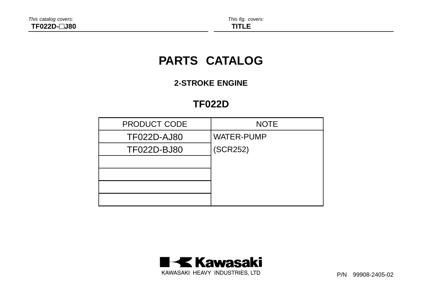# **PARTS CATALOG**

# **2-STROKE ENGINE**

# **TF022D**

| <b>PRODUCT CODE</b> | <b>NOTE</b>       |
|---------------------|-------------------|
| <b>TF022D-AJ80</b>  | <b>WATER-PUMP</b> |
| TF022D-BJ80         | (SCR252)          |
|                     |                   |
|                     |                   |
|                     |                   |
|                     |                   |



P/N 99908-2405-02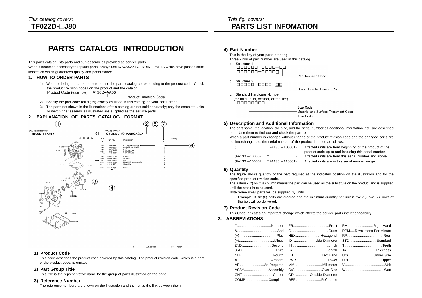# **PARTS CATALOG INTRODUCTION**

This parts catalog lists parts and sub-assemblies provided as service parts.

When it becomes necessary to replace parts, always use KAWASAKI GENUINE PARTS which have passed strict inspection which guarantees quality and performance.

### **1. HOW TO ORDER PARTS**

1) When ordering the parts, be sure to use the parts catalog corresponding to the product code. Check the product revision codes on the product and the catalog. Product Code (example): FA130D-AA00

-Product Revision Code

- 2) Specify the part code (all digits) exactly as listed in this catalog on your parts order.
- 3) The parts not shown in the illustrations of this catalog are not sold separately; only the complete units or next higher assemblies illustrated are supplied as the service parts.

### **2. EXPLANATION OF PARTS CATALOG FORMAT**



### **1) Product Code**

This code describes the product code covered by this catalog. The product revision code, which is a part of the product code, is omitted.

JUN.03.1999

E0110-A216A

### **2) Part Group Title**

This title is the representative name for the group of parts illustrated on the page.

### **3) Reference Number**

The reference numbers are shown on the illustration and the list as the link between them.

### **4) Part Number**

This is the key of your parts ordering. Three kinds of part number are used in this catalog.

a. Structure 1  $000000 - 00000$ Part Revision Code



- c. Standard Hardware Number
- (for bolts, nuts, washer, or the like)



### **5) Description and Additional Information**

The part name, the location, the size, and the serial number as additional information, etc. are described here. Use them to find out and check the part required.

When a part number is changed without change of the product revision code and the changed parts are not interchangeable, the serial number of the product is noted as follows;

|                 |     | $-$ FA130 – 100001) : Affected units are from beginning of the product of the |
|-----------------|-----|-------------------------------------------------------------------------------|
|                 |     | product code up to and including this serial number.                          |
| (FA130 - 100002 | $-$ | : Affected units are from this serial number and above.                       |
| (FA130 - 100002 |     | $-$ FA130 – 110001) : Affected units are in this serial number range.         |

### **6) Quantity**

The figure shows quantity of the part required at the indicated position on the illustration and for the specified product revision code.

The asterisk (\*) on this column means the part can be used as the substitute on the product and is supplied until the stock is exhausted.

Note:Some small parts will be supplied by units.

Example: If six (6) bolts are ordered and the minimum quantity per unit is five (5), two (2), units of the bolt will be delivered.

### **7) Product Revision Code**

This Code indicates an important change which affects the service parts interchangeability.

### **3. ABBREVIATIONS**

|  | 3RDThird L=Length T=Thickness        |  |
|--|--------------------------------------|--|
|  | 4TH Fourth LHLeft Hand U/SUnder Size |  |
|  |                                      |  |
|  |                                      |  |
|  |                                      |  |
|  | CNTCenter OD=Outside Diameter        |  |
|  | COMPComplete REFReference            |  |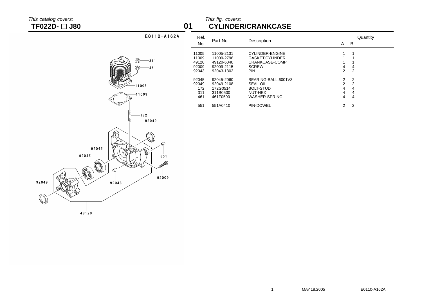92049

49120

### This catalog covers: This fig. covers: This fig. covers: This fig. covers: This fig. covers: This fig. covers: This fig. covers: This fig. covers: This fig. covers: This fig. covers: This fig. covers: This fig. covers: Thi **TF022D- J80 01 CYLINDER/CRANKCASE**

| E0110-A162A                                                                                              | Ref.<br>No.                               | Part No.                                                           | Description                                                                                |                                                                                         | A B                                             |
|----------------------------------------------------------------------------------------------------------|-------------------------------------------|--------------------------------------------------------------------|--------------------------------------------------------------------------------------------|-----------------------------------------------------------------------------------------|-------------------------------------------------|
| ❀<br>$-311$<br>ଋ<br>$-461$                                                                               | 11005<br>11009<br>49120<br>92009<br>92043 | 11005-2131<br>11009-2796<br>49120-6040<br>92009-2115<br>92043-1302 | <b>CYLINDER-ENGINE</b><br>GASKET, CYLINDER<br>CRANKCASE-COMP<br><b>SCREW</b><br><b>PIN</b> | 4<br>$\overline{2}$                                                                     | $\overline{c}$                                  |
| $-11005$<br>$-11009$                                                                                     | 92045<br>92049<br>172<br>311<br>461       | 92045-2060<br>92049-2108<br>172G0514<br>311B0500<br>461F0500       | BEARING-BALL,6001V3<br>SEAL-OIL<br><b>BOLT-STUD</b><br>NUT-HEX<br>WASHER-SPRING            | $\begin{array}{c} 2 \\ 2 \\ 4 \end{array}$<br>$\overline{\mathbf{4}}$<br>$\overline{4}$ | $\overline{2}$<br>$\overline{c}$<br>4<br>4<br>4 |
| $-172$<br>92049<br>92045<br>PPT.<br>92045<br>551<br><b>RODERING STATE</b><br>$\varnothing$<br>۵<br>92009 | 551                                       | 551A0410                                                           | PIN-DOWEL                                                                                  | $\overline{2}$                                                                          | 2                                               |

Quantity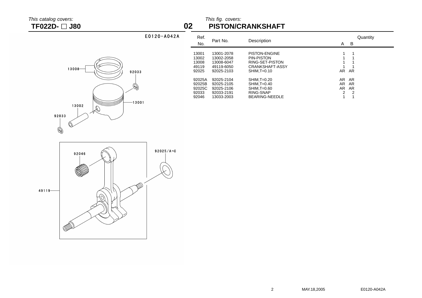## This catalog covers: This fig. covers: This fig. covers: This fig. covers: This fig. covers: This fig. covers: This fig. covers: This fig. covers: This fig. covers: This fig. covers: This fig. covers: This fig. covers: Thi **TF022D- J80 02 PISTON/CRANKSHAFT**

13008 92033  $-13001$ 13002  $\mathscr{R}$ 92033  $\mathbb{P}$ 

E0120-A042A

| Ref.<br>No.                                  | Part No.                                                           | Description                                                                                      | Quantity<br>B<br>A                                               |
|----------------------------------------------|--------------------------------------------------------------------|--------------------------------------------------------------------------------------------------|------------------------------------------------------------------|
| 13001<br>13002<br>13008<br>49119<br>92025    | 13001-2078<br>13002-2058<br>13008-6047<br>49119-6050<br>92025-2103 | <b>PISTON-ENGINE</b><br>PIN-PISTON<br>RING-SET-PISTON<br><b>CRANKSHAFT-ASSY</b><br>$SHIM.T=0.10$ | AR.<br>AR                                                        |
| 92025A<br>92025B<br>92025C<br>92033<br>92046 | 92025-2104<br>92025-2105<br>92025-2106<br>92033-2191<br>13033-2003 | $SHIM, T=0.20$<br>$SHIM.T=0.40$<br>$SHIM.T=0.60$<br>RING-SNAP<br>BEARING-NEEDLE                  | AR AR<br>AR.<br>AR<br>AR.<br>AR<br>2<br>$\overline{2}$<br>и<br>1 |

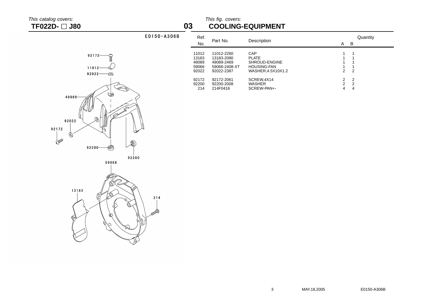This catalog covers: This fig. covers: **TF022D- J80 03 COOLING-EQUIPMENT**

## E0150-A306B









| Ref.<br>No. | Part No.      | Description        | Quantity<br>B<br>Α |
|-------------|---------------|--------------------|--------------------|
| 11012       | 11012-2260    | CAP                | 1                  |
| 13183       | 13183-2080    | <b>PLATE</b>       | 1                  |
| 49089       | 49089-2469    | SHROUD-ENGINE      | 1                  |
| 59066       | 59066-2408-XT | <b>HOUSING-FAN</b> |                    |
| 92022       | 92022-2387    | WASHER.4.5X10X1.2  | 2<br>2             |
|             |               |                    |                    |
| 92172       | 92172-2061    | SCREW, 4X14        | $\mathcal{P}$<br>2 |
| 92200       | 92200-2008    | <b>WASHER</b>      | $\mathcal{P}$<br>2 |
| 214         | 214F0416      | SCREW-PAN+-        | 4<br>4             |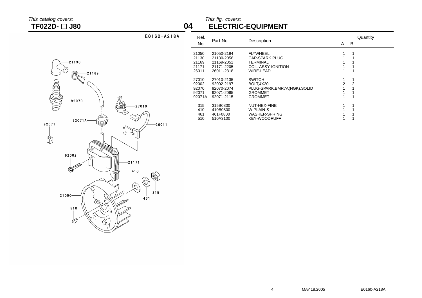## This catalog covers: This fig. covers:<br> **TF022D-** 380 **THECTRIC TF022D- J80 04 ELECTRIC-EQUIPMENT**

| $-21130$<br>Ô<br>$-21169$<br>92070<br>$-27010$                       |
|----------------------------------------------------------------------|
| 92071A<br>92071                                                      |
| $-26011$<br>92002<br>$-21171$<br><b>ADDDD</b><br>410<br>315<br>21050 |
| 461                                                                  |
| 510                                                                  |

E0160-A218A

| Ref.<br>No.                                | Part No.                                                           | Description                                                                                     | A      | B                        | Quantity |
|--------------------------------------------|--------------------------------------------------------------------|-------------------------------------------------------------------------------------------------|--------|--------------------------|----------|
| 21050<br>21130<br>21169<br>21171<br>26011  | 21050-2194<br>21130-2056<br>21169-2051<br>21171-2205<br>26011-2318 | <b>FLYWHEEL</b><br><b>CAP-SPARK PLUG</b><br>TERMINAL<br>COIL-ASSY-IGNITION<br>WIRE-LEAD         |        | 1                        |          |
| 27010<br>92002<br>92070<br>92071<br>92071A | 27010-2135<br>92002-2197<br>92070-2074<br>92071-2065<br>92071-2115 | <b>SWITCH</b><br>BOLT.4X20<br>PLUG-SPARK, BMR7A(NGK), SOLID<br><b>GROMMET</b><br><b>GROMMET</b> | 1<br>2 | 1<br>$\overline{2}$<br>1 |          |
| 315<br>410<br>461<br>510                   | 315B0800<br>410B0800<br>461F0800<br>510A3100                       | NUT-HEX-FINE<br>W-PLAIN-S<br><b>WASHER-SPRING</b><br><b>KEY-WOODRUFF</b>                        | 1      | 1                        |          |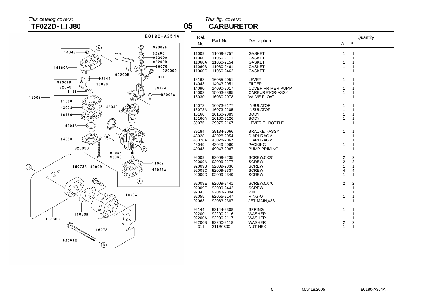# This catalog covers: This fig. covers: **TF022D- J80 05 CARBURETOR**



| Ref.<br>No. | Part No.   | Description              | A                       | B              | Quantity |
|-------------|------------|--------------------------|-------------------------|----------------|----------|
| 11009       | 11009-2757 | <b>GASKET</b>            | 1                       | 1              |          |
| 11060       | 11060-2111 | <b>GASKET</b>            | 1                       | 1              |          |
| 11060A      | 11060-2154 | <b>GASKET</b>            | 1                       | 1              |          |
| 11060B      | 11060-2461 | <b>GASKET</b>            | 1                       | 1              |          |
| 11060C      | 11060-2462 | <b>GASKET</b>            | 1                       | 1              |          |
| 13168       | 16055-2051 | LEVER                    | 1                       | 1              |          |
| 14043       | 14043-2051 | <b>FILTER</b>            | 1                       | 1              |          |
| 14090       | 14090-2017 | <b>COVER.PRIMER PUMP</b> | 1                       | 1              |          |
| 15003       | 15003-2885 | CARBURETOR-ASSY          | 1                       | 1              |          |
| 16030       | 16030-2078 | <b>VALVE-FLOAT</b>       | 1                       | 1              |          |
| 16073       | 16073-2177 | <b>INSULATOR</b>         | 1                       | 1              |          |
| 16073A      | 16073-2205 | <b>INSULATOR</b>         | 1                       | 1              |          |
| 16160       | 16160-2089 | <b>BODY</b>              | 1                       | 1              |          |
| 16160A      | 16160-2126 | <b>BODY</b>              | 1                       | 1              |          |
| 39075       | 39075-2167 | LEVER-THROTTLE           | 1                       | 1              |          |
| 39184       | 39184-2066 | <b>BRACKET-ASSY</b>      | 1                       | 1              |          |
| 43028       | 43028-2054 | <b>DIAPHRAGM</b>         | 1                       | 1              |          |
| 43028A      | 43028-2067 | <b>DIAPHRAGM</b>         | 1                       | 1              |          |
| 43049       | 43049-2060 | <b>PACKING</b>           | 1                       | 1              |          |
| 49043       | 49043-2067 | PUMP-PRIMING             | 1                       | 1              |          |
| 92009       | 92009-2235 | SCREW, 5X25              | $\overline{\mathbf{c}}$ | $\overline{2}$ |          |
| 92009A      | 92009-2277 | <b>SCREW</b>             | $\overline{c}$          | $\overline{2}$ |          |
| 92009B      | 92009-2336 | <b>SCREW</b>             | $\mathbf{1}$            | 1              |          |
| 92009C      | 92009-2337 | <b>SCREW</b>             | $\overline{4}$          | 4              |          |
| 92009D      | 92009-2349 | <b>SCREW</b>             | 1                       | 1              |          |
| 92009E      | 92009-2441 | SCREW,5X70               | $\overline{c}$          | 2              |          |
| 92009F      | 92009-2442 | <b>SCREW</b>             | $\mathbf{1}$            | 1              |          |
| 92043       | 92043-2094 | <b>PIN</b>               | 1                       | 1              |          |
| 92055       | 92055-2147 | RING-O                   | 1                       | 1              |          |
| 92063       | 92063-2387 | JET-MAIN,#38             | 1                       | 1              |          |
| 92144       | 92144-2308 | <b>SPRING</b>            | 1                       | 1              |          |
| 92200       | 92200-2116 | <b>WASHER</b>            | 1                       | 1              |          |
| 92200A      | 92200-2117 | <b>WASHER</b>            | 1                       | 1              |          |
| 92200B      | 92200-2118 | <b>WASHER</b>            | $\overline{2}$          | $\overline{2}$ |          |
| 311         | 311B0500   | NUT-HEX                  | 1                       | 1              |          |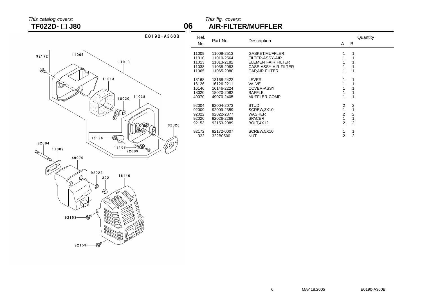This catalog covers: This fig. covers: **TF022D- J80 06 AIR-FILTER/MUFFLER**

÷.



| Ref.<br>No.                               | Part No.                                                           | Description                                                                                              | A                                               | В                        | Quantity |
|-------------------------------------------|--------------------------------------------------------------------|----------------------------------------------------------------------------------------------------------|-------------------------------------------------|--------------------------|----------|
| 11009<br>11010<br>11013<br>11038<br>11065 | 11009-2513<br>11010-2564<br>11013-2182<br>11038-2083<br>11065-2080 | GASKET, MUFFLER<br>FILTER-ASSY-AIR<br>ELEMENT-AIR FILTER<br>CASE-ASSY-AIR FILTER<br><b>CAPAIR FILTER</b> | 1                                               | 1                        |          |
| 13168<br>16126<br>16146<br>18020<br>49070 | 13168-2422<br>16126-2211<br>16146-2224<br>18020-2082<br>49070-2405 | <b>LEVER</b><br>VALVE<br><b>COVER-ASSY</b><br><b>BAFFLE</b><br>MUFFLER-COMP                              | 1                                               |                          |          |
| 92004<br>92009<br>92022<br>92026<br>92153 | 92004-2073<br>92009-2359<br>92022-2377<br>92026-2269<br>92153-2089 | <b>STUD</b><br>SCREW.3X10<br><b>WASHER</b><br><b>SPACER</b><br>BOLT, 4X12                                | 2<br>1<br>$\overline{2}$<br>1<br>$\overline{2}$ | 2<br>2<br>$\overline{2}$ |          |
| 92172<br>322                              | 92172-0007<br>322B0500                                             | SCREW, 5X10<br>NUT                                                                                       | 2                                               | $\overline{2}$           |          |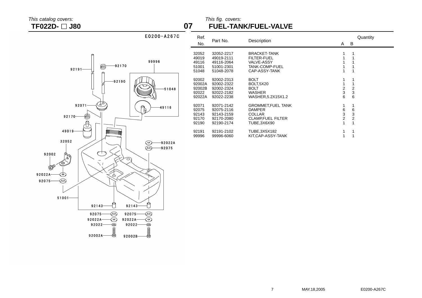## This catalog covers: This fig. covers: **TF022D- J80 07 FUEL-TANK/FUEL-VALVE**



| Ref.<br>No.                                  | Part No.                                                           | Description                                                                                              | A                                  | В                                             | Quantity |
|----------------------------------------------|--------------------------------------------------------------------|----------------------------------------------------------------------------------------------------------|------------------------------------|-----------------------------------------------|----------|
| 32052<br>49019<br>49116<br>51001<br>51048    | 32052-2217<br>49019-2111<br>49116-2064<br>51001-2301<br>51048-2078 | <b>BRACKET-TANK</b><br><b>FILTER-FUEL</b><br><b>VALVE-ASSY</b><br><b>TANK-COMP-FUEL</b><br>CAP-ASSY-TANK |                                    | 1                                             |          |
| 92002<br>92002A<br>92002B<br>92022<br>92022A | 92002-2313<br>92002-2322<br>92002-2324<br>92022-2182<br>92022-2238 | <b>BOLT</b><br><b>BOLT,5X20</b><br><b>BOLT</b><br>WASHER<br>WASHER, 5.2X15X1.2                           | 1<br>1<br>$\overline{2}$<br>3<br>6 | $\overline{2}$<br>3<br>6                      |          |
| 92071<br>92075<br>92143<br>92170<br>92190    | 92071-2142<br>92075-2116<br>92143-2159<br>92170-2080<br>92190-2174 | <b>GROMMET.FUEL TANK</b><br><b>DAMPER</b><br><b>COLLAR</b><br><b>CLAMP, FUEL FILTER</b><br>TUBE,3X6X90   | 1<br>6<br>3<br>$\overline{2}$<br>1 | 1<br>6<br>3<br>$\overline{2}$<br>$\mathbf{1}$ |          |
| 92191<br>99996                               | 92191-2102<br>99996-6060                                           | TUBE,3X5X182<br>KIT,CAP-ASSY-TANK                                                                        | 1<br>1                             | 1                                             |          |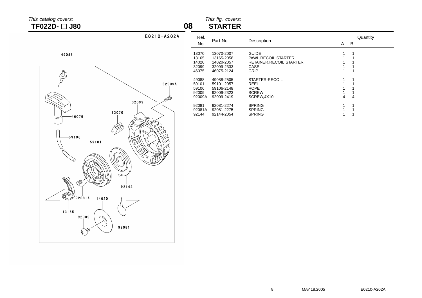# **TF022D-** □ **J80**

# This catalog covers: This fig. covers:<br>
This fig. covers: This fig. covers: This fig. covers: This fig. covers: This fig. covers: This fig. covers: This fig. covers: This fig. covers: This fig. covers: This fig. covers: Th

| 49088                                                                                  |        |
|----------------------------------------------------------------------------------------|--------|
| ଈ<br>32099<br>13070<br>46075<br>59106<br>59101<br>C<br>σ<br>ە<br>Ç,<br>≤<br>Ŵ<br>92144 | 92009A |
| E<br>92081A<br>14020<br>13165<br>92009<br>92081                                        |        |

| $E0210 - A202A$      | Ref.<br>No.                                | Part No.                                                           | Description                                                                      | A | Quantity<br>B |
|----------------------|--------------------------------------------|--------------------------------------------------------------------|----------------------------------------------------------------------------------|---|---------------|
|                      | 13070<br>13165<br>14020<br>32099<br>46075  | 13070-2007<br>13165-2058<br>14020-2057<br>32099-2333<br>46075-2124 | <b>GUIDE</b><br>PAWL, RECOIL STARTER<br>RETAINER, RECOIL STARTER<br>CASE<br>GRIP |   |               |
| 92009A<br><b>ADD</b> | 49088<br>59101<br>59106<br>92009<br>92009A | 49088-2505<br>59101-2057<br>59106-2148<br>92009-2323<br>92009-2419 | STARTER-RECOIL<br>REEL<br><b>ROPE</b><br><b>SCREW</b><br>SCREW, 4X10             | 4 | 4             |
|                      | 92081<br>92081A<br>92144                   | 92081-2274<br>92081-2275<br>92144-2054                             | <b>SPRING</b><br><b>SPRING</b><br><b>SPRING</b>                                  |   |               |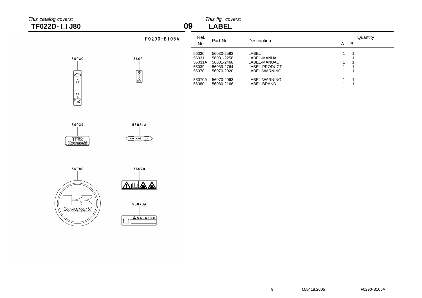# $\frac{20}{3}$  This catalog covers:  $\frac{1}{2}$  J80

|        | This fig. covers: |
|--------|-------------------|
| I ADEI |                   |

| TF022D- $\Box$ J80 |                                                                                                | 09                                         | <b>LABEL</b>                                                       |                                                                         |                               |
|--------------------|------------------------------------------------------------------------------------------------|--------------------------------------------|--------------------------------------------------------------------|-------------------------------------------------------------------------|-------------------------------|
|                    | $F0290 - B105A$                                                                                | Ref.<br>No.                                | Part No.                                                           | Description                                                             | Quantity<br>$\mathsf{A}$<br>B |
| 56030<br>∣⇔        | 56031                                                                                          | 56030<br>56031<br>56031A<br>56039<br>56070 | 56030-2593<br>56031-2258<br>56031-2468<br>56039-2764<br>56070-2020 | LABEL<br>LABEL-MANUAL<br>LABEL-MANUAL<br>LABEL-PRODUCT<br>LABEL-WARNING |                               |
| ١                  | $\begin{bmatrix} \frac{\partial V}{\partial P} \\ \frac{\partial F}{\partial P} \end{bmatrix}$ | 56070A<br>56080                            | 56070-2063<br>56080-2166                                           | LABEL-WARNING<br>LABEL-BRAND                                            |                               |









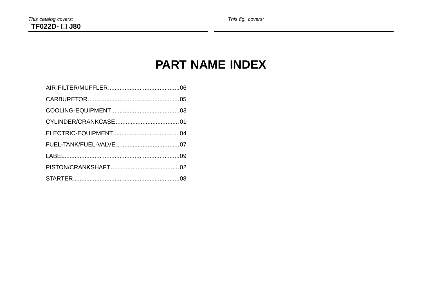# **PART NAME INDEX**